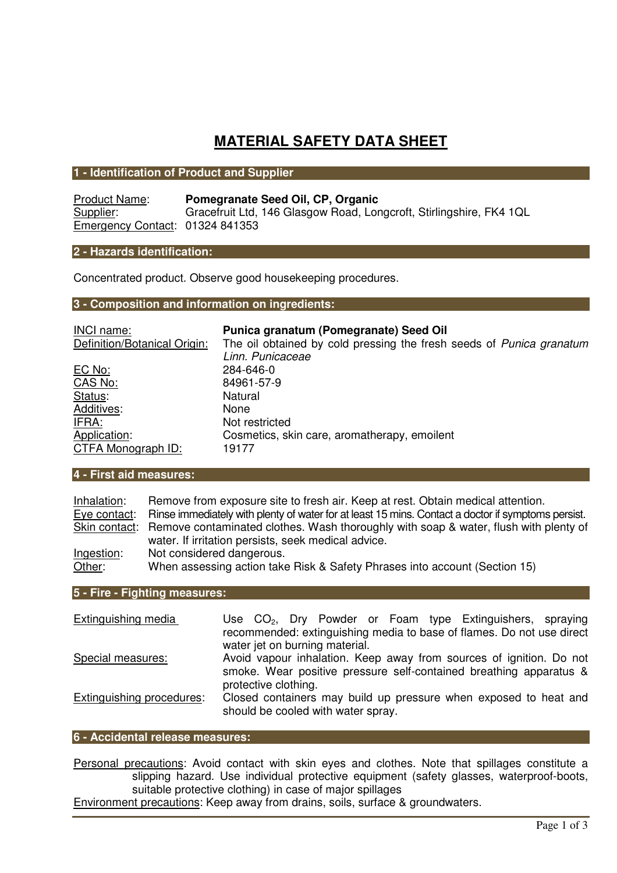# **MATERIAL SAFETY DATA SHEET**

## **1 - Identification of Product and Supplier**

| <b>Product Name:</b>            | Pomegranate Seed Oil, CP, Organic                                   |
|---------------------------------|---------------------------------------------------------------------|
| Supplier:                       | Gracefruit Ltd, 146 Glasgow Road, Longcroft, Stirlingshire, FK4 1QL |
| Emergency Contact: 01324 841353 |                                                                     |

## **2 - Hazards identification:**

Concentrated product. Observe good housekeeping procedures.

## **3 - Composition and information on ingredients:**

| <b>INCI name:</b>            | Punica granatum (Pomegranate) Seed Oil                                      |
|------------------------------|-----------------------------------------------------------------------------|
| Definition/Botanical Origin: | The oil obtained by cold pressing the fresh seeds of <i>Punica granatum</i> |
|                              | Linn. Punicaceae                                                            |
| <u>EC No:</u>                | 284-646-0                                                                   |
| CAS No:                      | 84961-57-9                                                                  |
| Status:                      | Natural                                                                     |
| Additives:                   | <b>None</b>                                                                 |
| IFRA:                        | Not restricted                                                              |
| Application:                 | Cosmetics, skin care, aromatherapy, emoilent                                |
| CTFA Monograph ID:           | 19177                                                                       |

## **4 - First aid measures:**

| Inhalation:  | Remove from exposure site to fresh air. Keep at rest. Obtain medical attention.                                                                           |
|--------------|-----------------------------------------------------------------------------------------------------------------------------------------------------------|
| Eye contact: | Rinse immediately with plenty of water for at least 15 mins. Contact a doctor if symptoms persist.                                                        |
|              | Skin contact: Remove contaminated clothes. Wash thoroughly with soap & water, flush with plenty of<br>water. If irritation persists, seek medical advice. |
| Ingestion:   | Not considered dangerous.                                                                                                                                 |
| Other:       | When assessing action take Risk & Safety Phrases into account (Section 15)                                                                                |

# **5 - Fire - Fighting measures:**

| Extinguishing media       | Use $CO2$ , Dry Powder or Foam type Extinguishers, spraying                                                                                                       |
|---------------------------|-------------------------------------------------------------------------------------------------------------------------------------------------------------------|
|                           | recommended: extinguishing media to base of flames. Do not use direct<br>water jet on burning material.                                                           |
| Special measures:         | Avoid vapour inhalation. Keep away from sources of ignition. Do not<br>smoke. Wear positive pressure self-contained breathing apparatus &<br>protective clothing. |
| Extinguishing procedures: | Closed containers may build up pressure when exposed to heat and<br>should be cooled with water spray.                                                            |

### **6 - Accidental release measures:**

Personal precautions: Avoid contact with skin eyes and clothes. Note that spillages constitute a slipping hazard. Use individual protective equipment (safety glasses, waterproof-boots, suitable protective clothing) in case of major spillages

Environment precautions: Keep away from drains, soils, surface & groundwaters.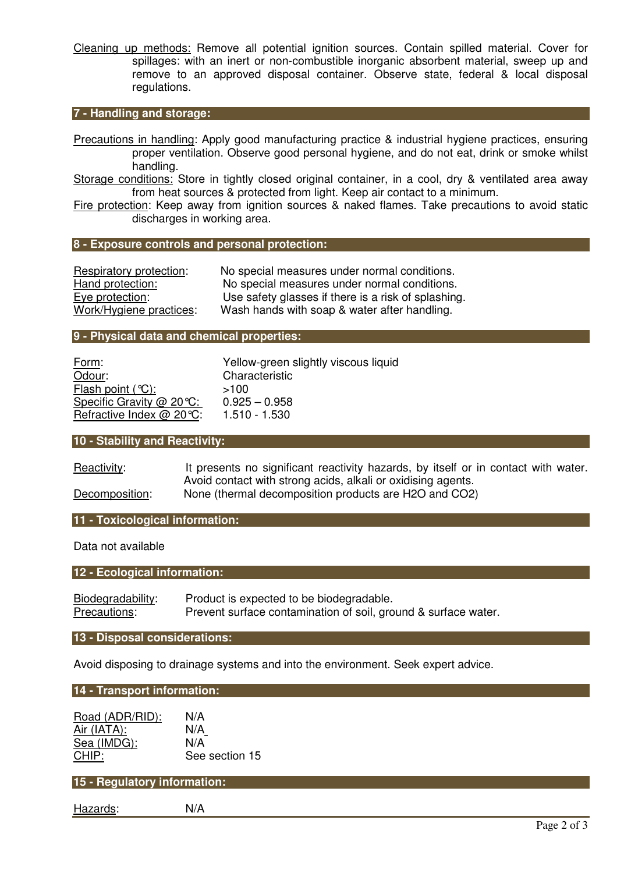Cleaning up methods: Remove all potential ignition sources. Contain spilled material. Cover for spillages: with an inert or non-combustible inorganic absorbent material, sweep up and remove to an approved disposal container. Observe state, federal & local disposal regulations.

# **7 - Handling and storage:**

Precautions in handling: Apply good manufacturing practice & industrial hygiene practices, ensuring proper ventilation. Observe good personal hygiene, and do not eat, drink or smoke whilst handling.

Storage conditions: Store in tightly closed original container, in a cool, dry & ventilated area away from heat sources & protected from light. Keep air contact to a minimum.

Fire protection: Keep away from ignition sources & naked flames. Take precautions to avoid static discharges in working area.

#### **8 - Exposure controls and personal protection:**

| Respiratory protection: | No special measures under normal conditions.        |
|-------------------------|-----------------------------------------------------|
| Hand protection:        | No special measures under normal conditions.        |
| Eye protection:         | Use safety glasses if there is a risk of splashing. |
| Work/Hygiene practices: | Wash hands with soap & water after handling.        |

#### **9 - Physical data and chemical properties:**

| Form:                       | Yellow-green slightly viscous liquid |
|-----------------------------|--------------------------------------|
| Odour:                      | Characteristic                       |
| Flash point $(°C)$ :        | >100                                 |
| Specific Gravity $@$ 20 °C: | $0.925 - 0.958$                      |
| Refractive Index @ 20 °C:   | $1.510 - 1.530$                      |

### **10 - Stability and Reactivity:**

| Reactivity:    | It presents no significant reactivity hazards, by itself or in contact with water. |
|----------------|------------------------------------------------------------------------------------|
|                | Avoid contact with strong acids, alkali or oxidising agents.                       |
| Decomposition: | None (thermal decomposition products are H2O and CO2)                              |

#### **11 - Toxicological information:**

Data not available

| 12 - Ecological information: |                                                                |  |
|------------------------------|----------------------------------------------------------------|--|
|                              |                                                                |  |
| Biodegradability:            | Product is expected to be biodegradable.                       |  |
| Precautions:                 | Prevent surface contamination of soil, ground & surface water. |  |

#### **13 - Disposal considerations:**

Avoid disposing to drainage systems and into the environment. Seek expert advice.

### **14 - Transport information:**

| Road (ADR/RID): | N/A            |
|-----------------|----------------|
| Air (IATA):     | N/A            |
| Sea (IMDG):     | N/A            |
| CHIP:           | See section 15 |

## **15 - Regulatory information:**

Hazards: N/A